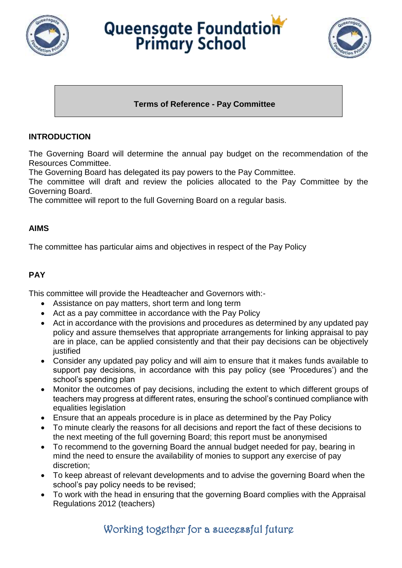

# Queensgate Foundation



## **Terms of Reference - Pay Committee**

## **INTRODUCTION**

The Governing Board will determine the annual pay budget on the recommendation of the Resources Committee.

The Governing Board has delegated its pay powers to the Pay Committee.

The committee will draft and review the policies allocated to the Pay Committee by the Governing Board.

The committee will report to the full Governing Board on a regular basis.

#### **AIMS**

The committee has particular aims and objectives in respect of the Pay Policy

## **PAY**

This committee will provide the Headteacher and Governors with:-

- Assistance on pay matters, short term and long term
- Act as a pay committee in accordance with the Pay Policy
- Act in accordance with the provisions and procedures as determined by any updated pay policy and assure themselves that appropriate arrangements for linking appraisal to pay are in place, can be applied consistently and that their pay decisions can be objectively iustified
- Consider any updated pay policy and will aim to ensure that it makes funds available to support pay decisions, in accordance with this pay policy (see 'Procedures') and the school's spending plan
- Monitor the outcomes of pay decisions, including the extent to which different groups of teachers may progress at different rates, ensuring the school's continued compliance with equalities legislation
- Ensure that an appeals procedure is in place as determined by the Pay Policy
- To minute clearly the reasons for all decisions and report the fact of these decisions to the next meeting of the full governing Board; this report must be anonymised
- To recommend to the governing Board the annual budget needed for pay, bearing in mind the need to ensure the availability of monies to support any exercise of pay discretion;
- To keep abreast of relevant developments and to advise the governing Board when the school's pay policy needs to be revised;
- To work with the head in ensuring that the governing Board complies with the Appraisal Regulations 2012 (teachers)

# Working together for a successful future